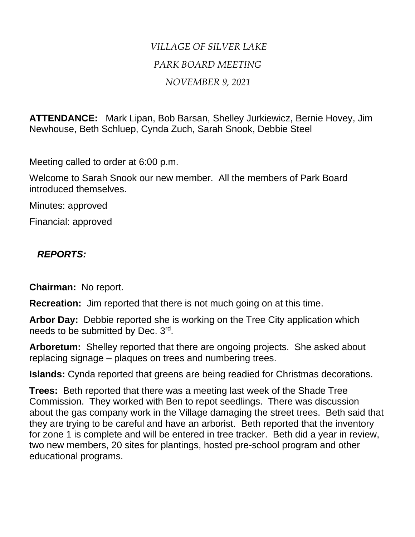## *VILLAGE OF SILVER LAKE PARK BOARD MEETING NOVEMBER 9, 2021*

**ATTENDANCE:** Mark Lipan, Bob Barsan, Shelley Jurkiewicz, Bernie Hovey, Jim Newhouse, Beth Schluep, Cynda Zuch, Sarah Snook, Debbie Steel

Meeting called to order at 6:00 p.m.

Welcome to Sarah Snook our new member. All the members of Park Board introduced themselves.

Minutes: approved

Financial: approved

## *REPORTS:*

**Chairman:** No report.

**Recreation:** Jim reported that there is not much going on at this time.

**Arbor Day:** Debbie reported she is working on the Tree City application which needs to be submitted by Dec. 3rd.

**Arboretum:** Shelley reported that there are ongoing projects. She asked about replacing signage – plaques on trees and numbering trees.

**Islands:** Cynda reported that greens are being readied for Christmas decorations.

**Trees:** Beth reported that there was a meeting last week of the Shade Tree Commission. They worked with Ben to repot seedlings. There was discussion about the gas company work in the Village damaging the street trees. Beth said that they are trying to be careful and have an arborist. Beth reported that the inventory for zone 1 is complete and will be entered in tree tracker. Beth did a year in review, two new members, 20 sites for plantings, hosted pre-school program and other educational programs.